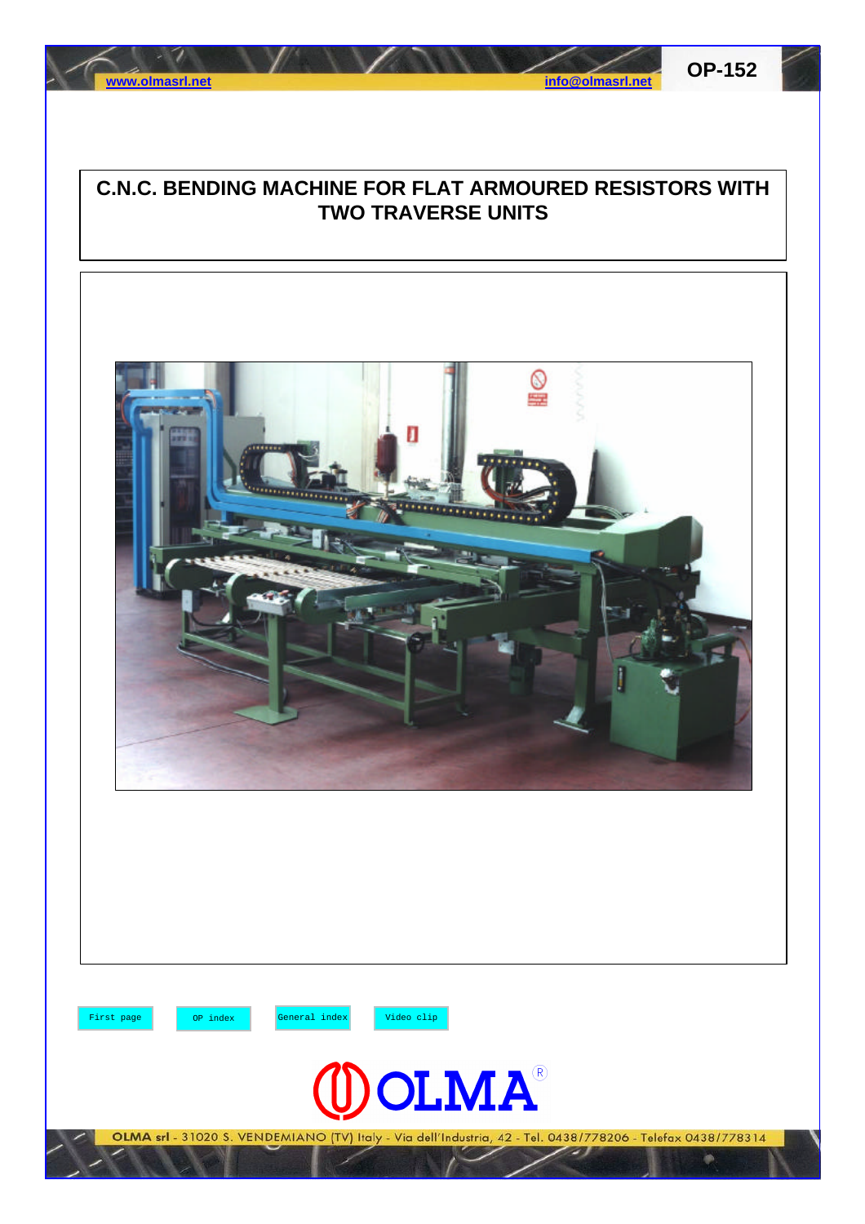



## **C.N.C. BENDING MACHINE FOR FLAT ARMOURED RESISTORS WITH TWO TRAVERSE UNITS**

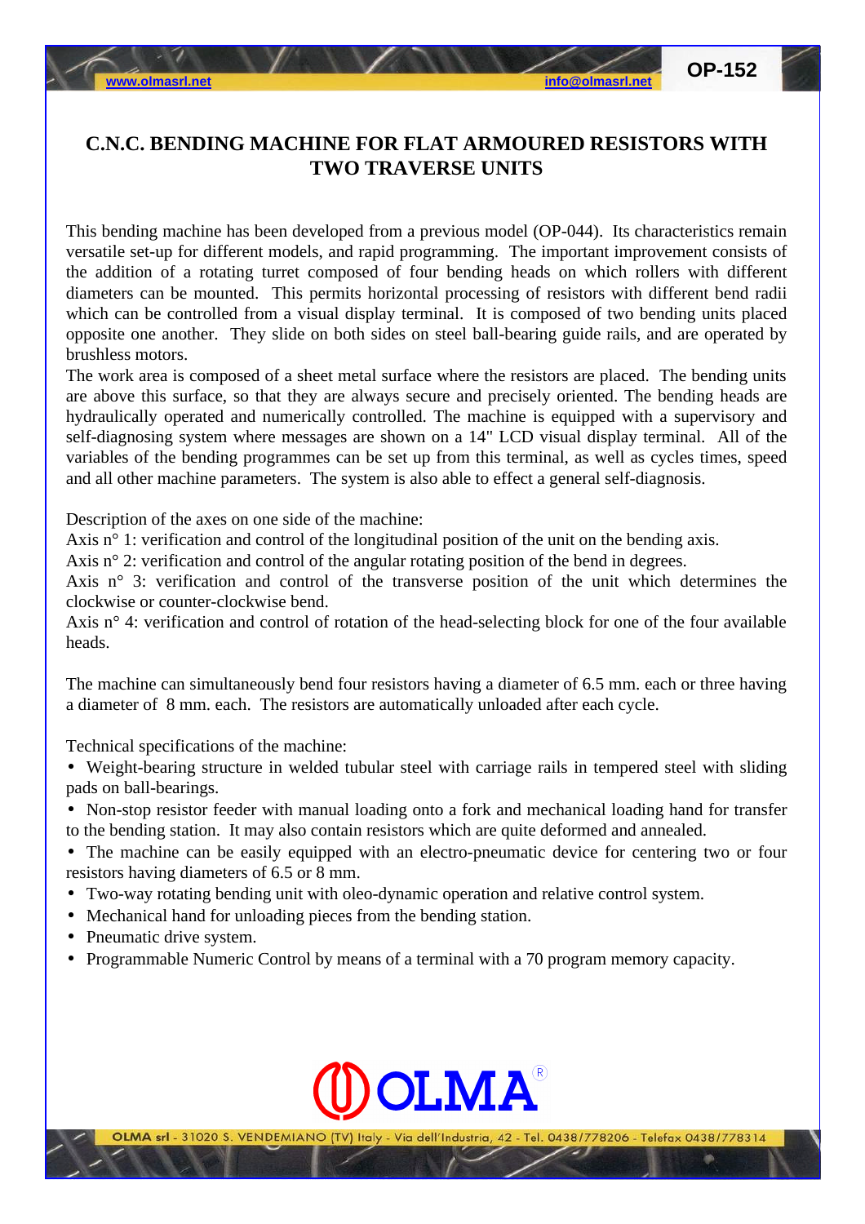## **C.N.C. BENDING MACHINE FOR FLAT ARMOURED RESISTORS WITH TWO TRAVERSE UNITS**

This bending machine has been developed from a previous model (OP-044). Its characteristics remain versatile set-up for different models, and rapid programming. The important improvement consists of the addition of a rotating turret composed of four bending heads on which rollers with different diameters can be mounted. This permits horizontal processing of resistors with different bend radii which can be controlled from a visual display terminal. It is composed of two bending units placed opposite one another. They slide on both sides on steel ball-bearing guide rails, and are operated by brushless motors.

The work area is composed of a sheet metal surface where the resistors are placed. The bending units are above this surface, so that they are always secure and precisely oriented. The bending heads are hydraulically operated and numerically controlled. The machine is equipped with a supervisory and self-diagnosing system where messages are shown on a 14" LCD visual display terminal. All of the variables of the bending programmes can be set up from this terminal, as well as cycles times, speed and all other machine parameters. The system is also able to effect a general self-diagnosis.

Description of the axes on one side of the machine:

Axis n<sup>o</sup> 1: verification and control of the longitudinal position of the unit on the bending axis.

Axis n° 2: verification and control of the angular rotating position of the bend in degrees.

Axis n° 3: verification and control of the transverse position of the unit which determines the clockwise or counter-clockwise bend.

Axis n° 4: verification and control of rotation of the head-selecting block for one of the four available heads.

The machine can simultaneously bend four resistors having a diameter of 6.5 mm. each or three having a diameter of 8 mm. each. The resistors are automatically unloaded after each cycle.

Technical specifications of the machine:

• Weight-bearing structure in welded tubular steel with carriage rails in tempered steel with sliding pads on ball-bearings.

• Non-stop resistor feeder with manual loading onto a fork and mechanical loading hand for transfer to the bending station. It may also contain resistors which are quite deformed and annealed.

• The machine can be easily equipped with an electro-pneumatic device for centering two or four resistors having diameters of 6.5 or 8 mm.

- Two-way rotating bending unit with oleo-dynamic operation and relative control system.
- Mechanical hand for unloading pieces from the bending station.
- Pneumatic drive system.
- Programmable Numeric Control by means of a terminal with a 70 program memory capacity.